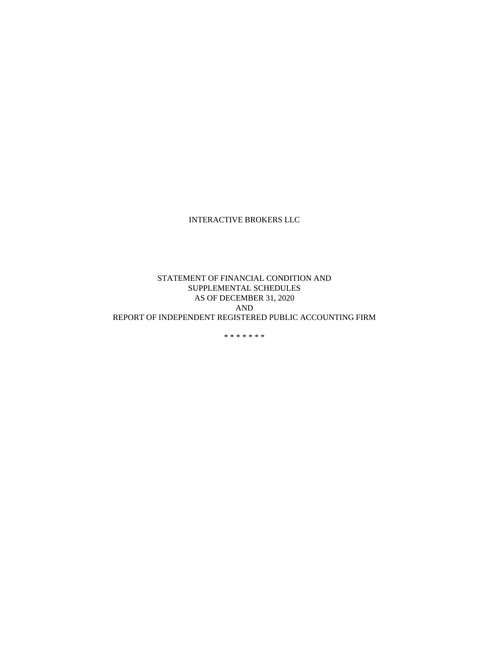## INTERACTIVE BROKERS LLC

## STATEMENT OF FINANCIAL CONDITION AND SUPPLEMENTAL SCHEDULES AS OF DECEMBER 31, 2020 AND REPORT OF INDEPENDENT REGISTERED PUBLIC ACCOUNTING FIRM

\* \* \* \* \* \* \*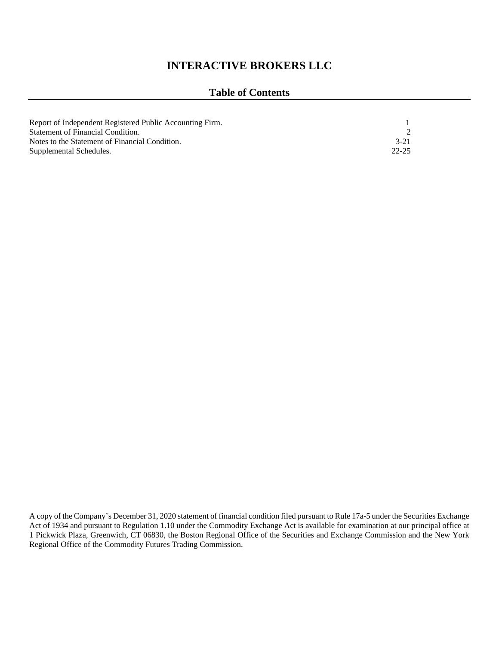# **INTERACTIVE BROKERS LLC**

## **Table of Contents**

| Report of Independent Registered Public Accounting Firm. |           |
|----------------------------------------------------------|-----------|
| Statement of Financial Condition.                        |           |
| Notes to the Statement of Financial Condition.           | $3-21$    |
| Supplemental Schedules.                                  | $22 - 25$ |

A copy of the Company's December 31, 2020 statement of financial condition filed pursuant to Rule 17a-5 under the Securities Exchange Act of 1934 and pursuant to Regulation 1.10 under the Commodity Exchange Act is available for examination at our principal office at 1 Pickwick Plaza, Greenwich, CT 06830, the Boston Regional Office of the Securities and Exchange Commission and the New York Regional Office of the Commodity Futures Trading Commission.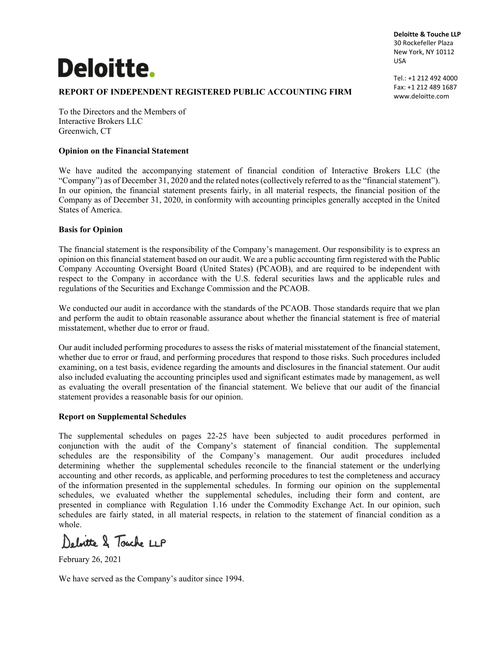# **Deloitte.**

**Deloitte & Touche LLP** 30 Rockefeller Plaza New York, NY 10112 USA

**REPORT OF INDEPENDENT REGISTERED PUBLIC ACCOUNTING FIRM** 

Tel.: +1 212 492 4000 Fax: +1 212 489 1687 www.deloitte.com

To the Directors and the Members of Interactive Brokers LLC Greenwich, CT

#### **Opinion on the Financial Statement**

We have audited the accompanying statement of financial condition of Interactive Brokers LLC (the "Company") as of December 31, 2020 and the related notes (collectively referred to as the "financial statement"). In our opinion, the financial statement presents fairly, in all material respects, the financial position of the Company as of December 31, 2020, in conformity with accounting principles generally accepted in the United States of America.

## **Basis for Opinion**

The financial statement is the responsibility of the Company's management. Our responsibility is to express an opinion on this financial statement based on our audit. We are a public accounting firm registered with the Public Company Accounting Oversight Board (United States) (PCAOB), and are required to be independent with respect to the Company in accordance with the U.S. federal securities laws and the applicable rules and regulations of the Securities and Exchange Commission and the PCAOB.

We conducted our audit in accordance with the standards of the PCAOB. Those standards require that we plan and perform the audit to obtain reasonable assurance about whether the financial statement is free of material misstatement, whether due to error or fraud.

Our audit included performing procedures to assess the risks of material misstatement of the financial statement, whether due to error or fraud, and performing procedures that respond to those risks. Such procedures included examining, on a test basis, evidence regarding the amounts and disclosures in the financial statement. Our audit also included evaluating the accounting principles used and significant estimates made by management, as well as evaluating the overall presentation of the financial statement. We believe that our audit of the financial statement provides a reasonable basis for our opinion.

## **Report on Supplemental Schedules**

The supplemental schedules on pages 22-25 have been subjected to audit procedures performed in conjunction with the audit of the Company's statement of financial condition. The supplemental schedules are the responsibility of the Company's management. Our audit procedures included determining whether the supplemental schedules reconcile to the financial statement or the underlying accounting and other records, as applicable, and performing procedures to test the completeness and accuracy of the information presented in the supplemental schedules. In forming our opinion on the supplemental schedules, we evaluated whether the supplemental schedules, including their form and content, are presented in compliance with Regulation 1.16 under the Commodity Exchange Act. In our opinion, such schedules are fairly stated, in all material respects, in relation to the statement of financial condition as a whole.

Deloitte & Touche LLP

February 26, 2021

We have served as the Company's auditor since 1994.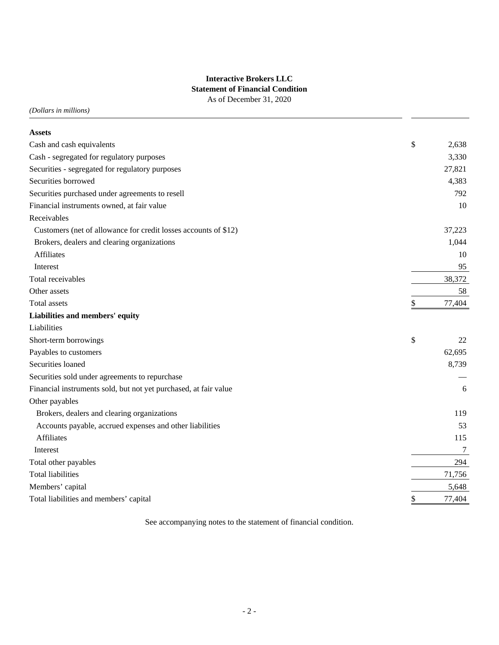## **Interactive Brokers LLC Statement of Financial Condition** As of December 31, 2020

*(Dollars in millions)*

| <b>Assets</b>                                                    |              |
|------------------------------------------------------------------|--------------|
| Cash and cash equivalents                                        | \$<br>2,638  |
| Cash - segregated for regulatory purposes                        | 3,330        |
| Securities - segregated for regulatory purposes                  | 27,821       |
| Securities borrowed                                              | 4,383        |
| Securities purchased under agreements to resell                  | 792          |
| Financial instruments owned, at fair value                       | 10           |
| Receivables                                                      |              |
| Customers (net of allowance for credit losses accounts of \$12)  | 37,223       |
| Brokers, dealers and clearing organizations                      | 1,044        |
| <b>Affiliates</b>                                                | 10           |
| Interest                                                         | 95           |
| Total receivables                                                | 38,372       |
| Other assets                                                     | 58           |
| <b>Total assets</b>                                              | \$<br>77,404 |
| Liabilities and members' equity                                  |              |
| Liabilities                                                      |              |
| Short-term borrowings                                            | \$<br>22     |
| Payables to customers                                            | 62,695       |
| Securities loaned                                                | 8,739        |
| Securities sold under agreements to repurchase                   |              |
| Financial instruments sold, but not yet purchased, at fair value | 6            |
| Other payables                                                   |              |
| Brokers, dealers and clearing organizations                      | 119          |
| Accounts payable, accrued expenses and other liabilities         | 53           |
| <b>Affiliates</b>                                                | 115          |
| Interest                                                         | 7            |
| Total other payables                                             | 294          |
| <b>Total liabilities</b>                                         | 71,756       |
| Members' capital                                                 | 5,648        |
| Total liabilities and members' capital                           | \$<br>77,404 |

See accompanying notes to the statement of financial condition.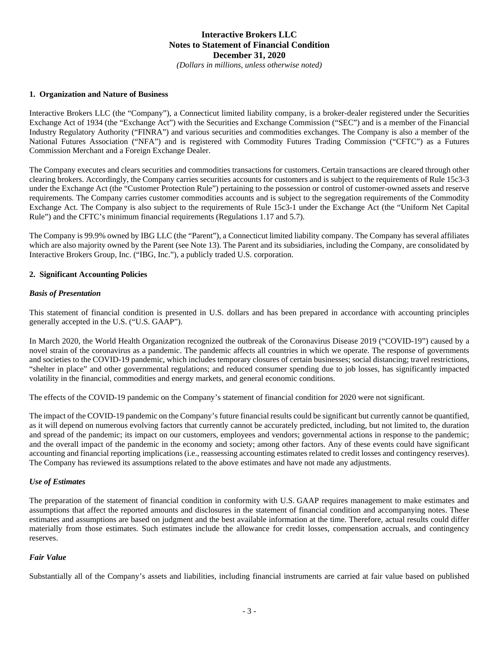*(Dollars in millions, unless otherwise noted)*

#### **1. Organization and Nature of Business**

Interactive Brokers LLC (the "Company"), a Connecticut limited liability company, is a broker-dealer registered under the Securities Exchange Act of 1934 (the "Exchange Act") with the Securities and Exchange Commission ("SEC") and is a member of the Financial Industry Regulatory Authority ("FINRA") and various securities and commodities exchanges. The Company is also a member of the National Futures Association ("NFA") and is registered with Commodity Futures Trading Commission ("CFTC") as a Futures Commission Merchant and a Foreign Exchange Dealer.

The Company executes and clears securities and commodities transactions for customers. Certain transactions are cleared through other clearing brokers. Accordingly, the Company carries securities accounts for customers and is subject to the requirements of Rule 15c3-3 under the Exchange Act (the "Customer Protection Rule") pertaining to the possession or control of customer-owned assets and reserve requirements. The Company carries customer commodities accounts and is subject to the segregation requirements of the Commodity Exchange Act. The Company is also subject to the requirements of Rule 15c3-1 under the Exchange Act (the "Uniform Net Capital Rule") and the CFTC's minimum financial requirements (Regulations 1.17 and 5.7).

The Company is 99.9% owned by IBG LLC (the "Parent"), a Connecticut limited liability company. The Company has several affiliates which are also majority owned by the Parent (see Note 13). The Parent and its subsidiaries, including the Company, are consolidated by Interactive Brokers Group, Inc. ("IBG, Inc."), a publicly traded U.S. corporation.

#### **2. Significant Accounting Policies**

#### *Basis of Presentation*

This statement of financial condition is presented in U.S. dollars and has been prepared in accordance with accounting principles generally accepted in the U.S. ("U.S. GAAP").

In March 2020, the World Health Organization recognized the outbreak of the Coronavirus Disease 2019 ("COVID-19") caused by a novel strain of the coronavirus as a pandemic. The pandemic affects all countries in which we operate. The response of governments and societies to the COVID-19 pandemic, which includes temporary closures of certain businesses; social distancing; travel restrictions, "shelter in place" and other governmental regulations; and reduced consumer spending due to job losses, has significantly impacted volatility in the financial, commodities and energy markets, and general economic conditions.

The effects of the COVID-19 pandemic on the Company's statement of financial condition for 2020 were not significant.

The impact of the COVID-19 pandemic on the Company's future financial results could be significant but currently cannot be quantified, as it will depend on numerous evolving factors that currently cannot be accurately predicted, including, but not limited to, the duration and spread of the pandemic; its impact on our customers, employees and vendors; governmental actions in response to the pandemic; and the overall impact of the pandemic in the economy and society; among other factors. Any of these events could have significant accounting and financial reporting implications (i.e., reassessing accounting estimates related to credit losses and contingency reserves). The Company has reviewed its assumptions related to the above estimates and have not made any adjustments.

#### *Use of Estimates*

The preparation of the statement of financial condition in conformity with U.S. GAAP requires management to make estimates and assumptions that affect the reported amounts and disclosures in the statement of financial condition and accompanying notes. These estimates and assumptions are based on judgment and the best available information at the time. Therefore, actual results could differ materially from those estimates. Such estimates include the allowance for credit losses, compensation accruals, and contingency reserves.

#### *Fair Value*

Substantially all of the Company's assets and liabilities, including financial instruments are carried at fair value based on published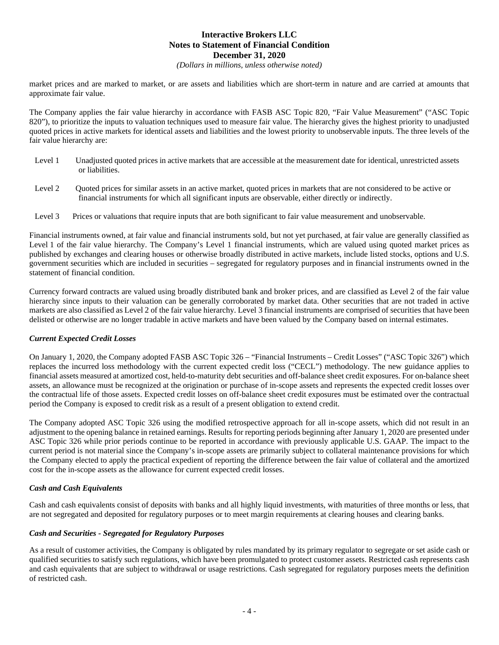*(Dollars in millions, unless otherwise noted)*

market prices and are marked to market, or are assets and liabilities which are short-term in nature and are carried at amounts that approximate fair value.

The Company applies the fair value hierarchy in accordance with FASB ASC Topic 820, "Fair Value Measurement" ("ASC Topic 820"), to prioritize the inputs to valuation techniques used to measure fair value. The hierarchy gives the highest priority to unadjusted quoted prices in active markets for identical assets and liabilities and the lowest priority to unobservable inputs. The three levels of the fair value hierarchy are:

- Level 1 Unadjusted quoted prices in active markets that are accessible at the measurement date for identical, unrestricted assets or liabilities.
- Level 2 Quoted prices for similar assets in an active market, quoted prices in markets that are not considered to be active or financial instruments for which all significant inputs are observable, either directly or indirectly.
- Level 3 Prices or valuations that require inputs that are both significant to fair value measurement and unobservable.

Financial instruments owned, at fair value and financial instruments sold, but not yet purchased, at fair value are generally classified as Level 1 of the fair value hierarchy. The Company's Level 1 financial instruments, which are valued using quoted market prices as published by exchanges and clearing houses or otherwise broadly distributed in active markets, include listed stocks, options and U.S. government securities which are included in securities – segregated for regulatory purposes and in financial instruments owned in the statement of financial condition.

Currency forward contracts are valued using broadly distributed bank and broker prices, and are classified as Level 2 of the fair value hierarchy since inputs to their valuation can be generally corroborated by market data. Other securities that are not traded in active markets are also classified as Level 2 of the fair value hierarchy. Level 3 financial instruments are comprised of securities that have been delisted or otherwise are no longer tradable in active markets and have been valued by the Company based on internal estimates.

#### *Current Expected Credit Losses*

On January 1, 2020, the Company adopted FASB ASC Topic 326 – "Financial Instruments – Credit Losses" ("ASC Topic 326") which replaces the incurred loss methodology with the current expected credit loss ("CECL") methodology. The new guidance applies to financial assets measured at amortized cost, held-to-maturity debt securities and off-balance sheet credit exposures. For on-balance sheet assets, an allowance must be recognized at the origination or purchase of in-scope assets and represents the expected credit losses over the contractual life of those assets. Expected credit losses on off-balance sheet credit exposures must be estimated over the contractual period the Company is exposed to credit risk as a result of a present obligation to extend credit.

The Company adopted ASC Topic 326 using the modified retrospective approach for all in-scope assets, which did not result in an adjustment to the opening balance in retained earnings. Results for reporting periods beginning after January 1, 2020 are presented under ASC Topic 326 while prior periods continue to be reported in accordance with previously applicable U.S. GAAP. The impact to the current period is not material since the Company's in-scope assets are primarily subject to collateral maintenance provisions for which the Company elected to apply the practical expedient of reporting the difference between the fair value of collateral and the amortized cost for the in-scope assets as the allowance for current expected credit losses.

#### *Cash and Cash Equivalents*

Cash and cash equivalents consist of deposits with banks and all highly liquid investments, with maturities of three months or less, that are not segregated and deposited for regulatory purposes or to meet margin requirements at clearing houses and clearing banks.

#### *Cash and Securities - Segregated for Regulatory Purposes*

As a result of customer activities, the Company is obligated by rules mandated by its primary regulator to segregate or set aside cash or qualified securities to satisfy such regulations, which have been promulgated to protect customer assets. Restricted cash represents cash and cash equivalents that are subject to withdrawal or usage restrictions. Cash segregated for regulatory purposes meets the definition of restricted cash.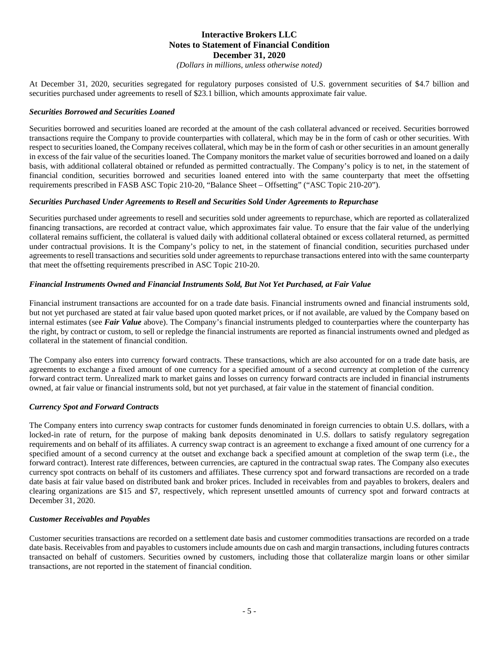*(Dollars in millions, unless otherwise noted)*

At December 31, 2020, securities segregated for regulatory purposes consisted of U.S. government securities of \$4.7 billion and securities purchased under agreements to resell of \$23.1 billion, which amounts approximate fair value.

#### *Securities Borrowed and Securities Loaned*

Securities borrowed and securities loaned are recorded at the amount of the cash collateral advanced or received. Securities borrowed transactions require the Company to provide counterparties with collateral, which may be in the form of cash or other securities. With respect to securities loaned, the Company receives collateral, which may be in the form of cash or other securities in an amount generally in excess of the fair value of the securities loaned. The Company monitors the market value of securities borrowed and loaned on a daily basis, with additional collateral obtained or refunded as permitted contractually. The Company's policy is to net, in the statement of financial condition, securities borrowed and securities loaned entered into with the same counterparty that meet the offsetting requirements prescribed in FASB ASC Topic 210-20, "Balance Sheet – Offsetting" ("ASC Topic 210-20").

#### *Securities Purchased Under Agreements to Resell and Securities Sold Under Agreements to Repurchase*

Securities purchased under agreements to resell and securities sold under agreements to repurchase, which are reported as collateralized financing transactions, are recorded at contract value, which approximates fair value. To ensure that the fair value of the underlying collateral remains sufficient, the collateral is valued daily with additional collateral obtained or excess collateral returned, as permitted under contractual provisions. It is the Company's policy to net, in the statement of financial condition, securities purchased under agreements to resell transactions and securities sold under agreements to repurchase transactions entered into with the same counterparty that meet the offsetting requirements prescribed in ASC Topic 210-20.

#### *Financial Instruments Owned and Financial Instruments Sold, But Not Yet Purchased, at Fair Value*

Financial instrument transactions are accounted for on a trade date basis. Financial instruments owned and financial instruments sold, but not yet purchased are stated at fair value based upon quoted market prices, or if not available, are valued by the Company based on internal estimates (see *Fair Value* above). The Company's financial instruments pledged to counterparties where the counterparty has the right, by contract or custom, to sell or repledge the financial instruments are reported as financial instruments owned and pledged as collateral in the statement of financial condition.

The Company also enters into currency forward contracts. These transactions, which are also accounted for on a trade date basis, are agreements to exchange a fixed amount of one currency for a specified amount of a second currency at completion of the currency forward contract term. Unrealized mark to market gains and losses on currency forward contracts are included in financial instruments owned, at fair value or financial instruments sold, but not yet purchased, at fair value in the statement of financial condition.

#### *Currency Spot and Forward Contracts*

The Company enters into currency swap contracts for customer funds denominated in foreign currencies to obtain U.S. dollars, with a locked-in rate of return, for the purpose of making bank deposits denominated in U.S. dollars to satisfy regulatory segregation requirements and on behalf of its affiliates. A currency swap contract is an agreement to exchange a fixed amount of one currency for a specified amount of a second currency at the outset and exchange back a specified amount at completion of the swap term (i.e., the forward contract). Interest rate differences, between currencies, are captured in the contractual swap rates. The Company also executes currency spot contracts on behalf of its customers and affiliates. These currency spot and forward transactions are recorded on a trade date basis at fair value based on distributed bank and broker prices. Included in receivables from and payables to brokers, dealers and clearing organizations are \$15 and \$7, respectively, which represent unsettled amounts of currency spot and forward contracts at December 31, 2020.

## *Customer Receivables and Payables*

Customer securities transactions are recorded on a settlement date basis and customer commodities transactions are recorded on a trade date basis. Receivables from and payables to customers include amounts due on cash and margin transactions, including futures contracts transacted on behalf of customers. Securities owned by customers, including those that collateralize margin loans or other similar transactions, are not reported in the statement of financial condition.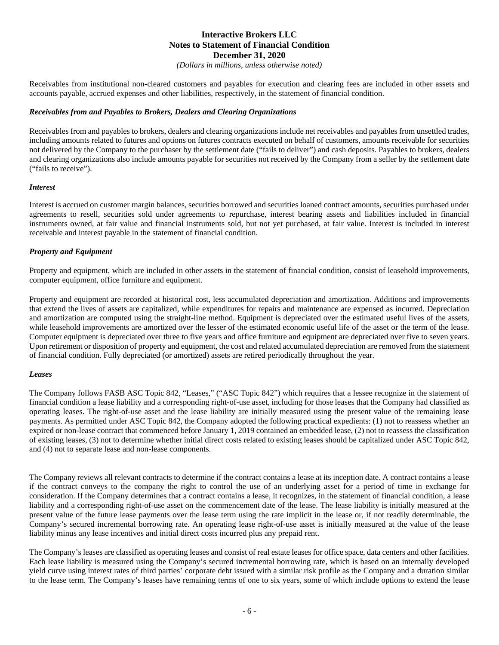*(Dollars in millions, unless otherwise noted)*

Receivables from institutional non-cleared customers and payables for execution and clearing fees are included in other assets and accounts payable, accrued expenses and other liabilities, respectively, in the statement of financial condition.

#### *Receivables from and Payables to Brokers, Dealers and Clearing Organizations*

Receivables from and payables to brokers, dealers and clearing organizations include net receivables and payables from unsettled trades, including amounts related to futures and options on futures contracts executed on behalf of customers, amounts receivable for securities not delivered by the Company to the purchaser by the settlement date ("fails to deliver") and cash deposits. Payables to brokers, dealers and clearing organizations also include amounts payable for securities not received by the Company from a seller by the settlement date ("fails to receive").

#### *Interest*

Interest is accrued on customer margin balances, securities borrowed and securities loaned contract amounts, securities purchased under agreements to resell, securities sold under agreements to repurchase, interest bearing assets and liabilities included in financial instruments owned, at fair value and financial instruments sold, but not yet purchased, at fair value. Interest is included in interest receivable and interest payable in the statement of financial condition.

#### *Property and Equipment*

Property and equipment, which are included in other assets in the statement of financial condition, consist of leasehold improvements, computer equipment, office furniture and equipment.

Property and equipment are recorded at historical cost, less accumulated depreciation and amortization. Additions and improvements that extend the lives of assets are capitalized, while expenditures for repairs and maintenance are expensed as incurred. Depreciation and amortization are computed using the straight-line method. Equipment is depreciated over the estimated useful lives of the assets, while leasehold improvements are amortized over the lesser of the estimated economic useful life of the asset or the term of the lease. Computer equipment is depreciated over three to five years and office furniture and equipment are depreciated over five to seven years. Upon retirement or disposition of property and equipment, the cost and related accumulated depreciation are removed from the statement of financial condition. Fully depreciated (or amortized) assets are retired periodically throughout the year.

#### *Leases*

The Company follows FASB ASC Topic 842, "Leases," ("ASC Topic 842") which requires that a lessee recognize in the statement of financial condition a lease liability and a corresponding right-of-use asset, including for those leases that the Company had classified as operating leases. The right-of-use asset and the lease liability are initially measured using the present value of the remaining lease payments. As permitted under ASC Topic 842, the Company adopted the following practical expedients: (1) not to reassess whether an expired or non-lease contract that commenced before January 1, 2019 contained an embedded lease, (2) not to reassess the classification of existing leases, (3) not to determine whether initial direct costs related to existing leases should be capitalized under ASC Topic 842, and (4) not to separate lease and non-lease components.

The Company reviews all relevant contracts to determine if the contract contains a lease at its inception date. A contract contains a lease if the contract conveys to the company the right to control the use of an underlying asset for a period of time in exchange for consideration. If the Company determines that a contract contains a lease, it recognizes, in the statement of financial condition, a lease liability and a corresponding right-of-use asset on the commencement date of the lease. The lease liability is initially measured at the present value of the future lease payments over the lease term using the rate implicit in the lease or, if not readily determinable, the Company's secured incremental borrowing rate. An operating lease right-of-use asset is initially measured at the value of the lease liability minus any lease incentives and initial direct costs incurred plus any prepaid rent.

The Company's leases are classified as operating leases and consist of real estate leases for office space, data centers and other facilities. Each lease liability is measured using the Company's secured incremental borrowing rate, which is based on an internally developed yield curve using interest rates of third parties' corporate debt issued with a similar risk profile as the Company and a duration similar to the lease term. The Company's leases have remaining terms of one to six years, some of which include options to extend the lease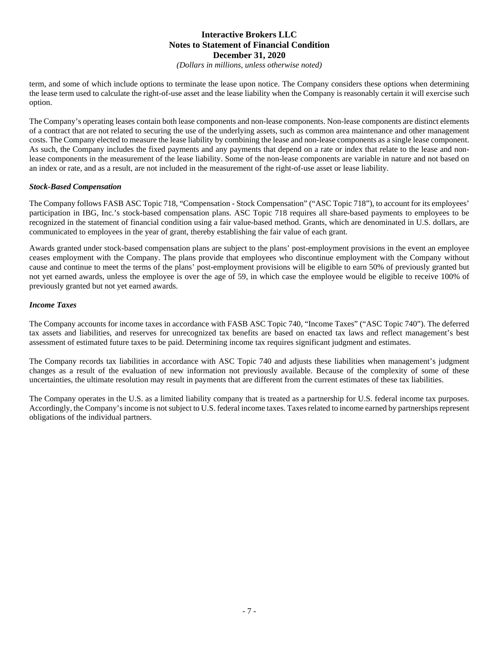*(Dollars in millions, unless otherwise noted)*

term, and some of which include options to terminate the lease upon notice. The Company considers these options when determining the lease term used to calculate the right-of-use asset and the lease liability when the Company is reasonably certain it will exercise such option.

The Company's operating leases contain both lease components and non-lease components. Non-lease components are distinct elements of a contract that are not related to securing the use of the underlying assets, such as common area maintenance and other management costs. The Company elected to measure the lease liability by combining the lease and non-lease components as a single lease component. As such, the Company includes the fixed payments and any payments that depend on a rate or index that relate to the lease and nonlease components in the measurement of the lease liability. Some of the non-lease components are variable in nature and not based on an index or rate, and as a result, are not included in the measurement of the right-of-use asset or lease liability.

#### *Stock-Based Compensation*

The Company follows FASB ASC Topic 718, "Compensation - Stock Compensation" ("ASC Topic 718"), to account for its employees' participation in IBG, Inc.'s stock-based compensation plans. ASC Topic 718 requires all share-based payments to employees to be recognized in the statement of financial condition using a fair value-based method. Grants, which are denominated in U.S. dollars, are communicated to employees in the year of grant, thereby establishing the fair value of each grant.

Awards granted under stock-based compensation plans are subject to the plans' post-employment provisions in the event an employee ceases employment with the Company. The plans provide that employees who discontinue employment with the Company without cause and continue to meet the terms of the plans' post-employment provisions will be eligible to earn 50% of previously granted but not yet earned awards, unless the employee is over the age of 59, in which case the employee would be eligible to receive 100% of previously granted but not yet earned awards.

#### *Income Taxes*

The Company accounts for income taxes in accordance with FASB ASC Topic 740, "Income Taxes" ("ASC Topic 740"). The deferred tax assets and liabilities, and reserves for unrecognized tax benefits are based on enacted tax laws and reflect management's best assessment of estimated future taxes to be paid. Determining income tax requires significant judgment and estimates.

The Company records tax liabilities in accordance with ASC Topic 740 and adjusts these liabilities when management's judgment changes as a result of the evaluation of new information not previously available. Because of the complexity of some of these uncertainties, the ultimate resolution may result in payments that are different from the current estimates of these tax liabilities.

The Company operates in the U.S. as a limited liability company that is treated as a partnership for U.S. federal income tax purposes. Accordingly, the Company's income is not subject to U.S. federal income taxes. Taxes related to income earned by partnerships represent obligations of the individual partners.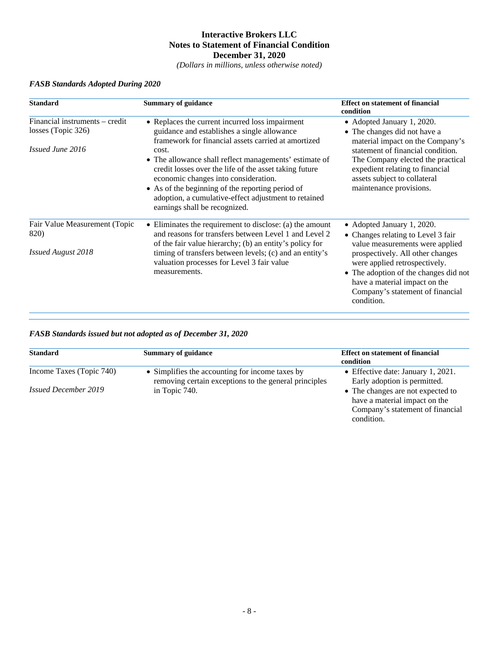*(Dollars in millions, unless otherwise noted)*

| <b>Standard</b>                                                          | <b>Summary of guidance</b>                                                                                                                                                                                                                                                                                                                                                                                                                                              | <b>Effect on statement of financial</b><br>condition                                                                                                                                                                                                                                                 |
|--------------------------------------------------------------------------|-------------------------------------------------------------------------------------------------------------------------------------------------------------------------------------------------------------------------------------------------------------------------------------------------------------------------------------------------------------------------------------------------------------------------------------------------------------------------|------------------------------------------------------------------------------------------------------------------------------------------------------------------------------------------------------------------------------------------------------------------------------------------------------|
| Financial instruments - credit<br>losses (Topic 326)<br>Issued June 2016 | • Replaces the current incurred loss impairment<br>guidance and establishes a single allowance<br>framework for financial assets carried at amortized<br>cost.<br>• The allowance shall reflect managements' estimate of<br>credit losses over the life of the asset taking future<br>economic changes into consideration.<br>• As of the beginning of the reporting period of<br>adoption, a cumulative-effect adjustment to retained<br>earnings shall be recognized. | • Adopted January 1, 2020.<br>• The changes did not have a<br>material impact on the Company's<br>statement of financial condition.<br>The Company elected the practical<br>expedient relating to financial<br>assets subject to collateral<br>maintenance provisions.                               |
| Fair Value Measurement (Topic<br>820)<br><b>Issued August 2018</b>       | $\bullet$ Eliminates the requirement to disclose: (a) the amount<br>and reasons for transfers between Level 1 and Level 2<br>of the fair value hierarchy; (b) an entity's policy for<br>timing of transfers between levels; (c) and an entity's<br>valuation processes for Level 3 fair value<br>measurements.                                                                                                                                                          | • Adopted January 1, 2020.<br>• Changes relating to Level 3 fair<br>value measurements were applied<br>prospectively. All other changes<br>were applied retrospectively.<br>• The adoption of the changes did not<br>have a material impact on the<br>Company's statement of financial<br>condition. |

## *FASB Standards Adopted During 2020*

## *FASB Standards issued but not adopted as of December 31, 2020*

| <b>Standard</b>             | <b>Summary of guidance</b>                                                                               | <b>Effect on statement of financial</b><br>condition                                                                 |
|-----------------------------|----------------------------------------------------------------------------------------------------------|----------------------------------------------------------------------------------------------------------------------|
| Income Taxes (Topic 740)    | • Simplifies the accounting for income taxes by<br>removing certain exceptions to the general principles | • Effective date: January 1, 2021.<br>Early adoption is permitted.                                                   |
| <i>Issued December 2019</i> | in Topic 740.                                                                                            | • The changes are not expected to<br>have a material impact on the<br>Company's statement of financial<br>condition. |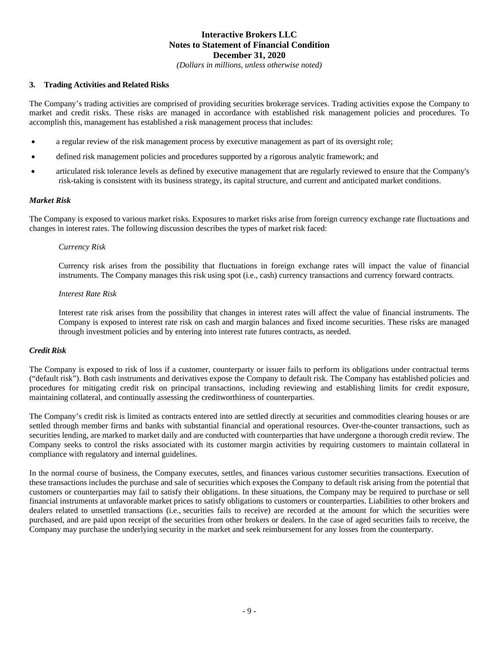*(Dollars in millions, unless otherwise noted)*

#### **3. Trading Activities and Related Risks**

The Company's trading activities are comprised of providing securities brokerage services. Trading activities expose the Company to market and credit risks. These risks are managed in accordance with established risk management policies and procedures. To accomplish this, management has established a risk management process that includes:

- a regular review of the risk management process by executive management as part of its oversight role;
- defined risk management policies and procedures supported by a rigorous analytic framework; and
- articulated risk tolerance levels as defined by executive management that are regularly reviewed to ensure that the Company's risk-taking is consistent with its business strategy, its capital structure, and current and anticipated market conditions.

#### *Market Risk*

The Company is exposed to various market risks. Exposures to market risks arise from foreign currency exchange rate fluctuations and changes in interest rates. The following discussion describes the types of market risk faced:

#### *Currency Risk*

Currency risk arises from the possibility that fluctuations in foreign exchange rates will impact the value of financial instruments. The Company manages this risk using spot (i.e., cash) currency transactions and currency forward contracts.

#### *Interest Rate Risk*

Interest rate risk arises from the possibility that changes in interest rates will affect the value of financial instruments. The Company is exposed to interest rate risk on cash and margin balances and fixed income securities. These risks are managed through investment policies and by entering into interest rate futures contracts, as needed.

#### *Credit Risk*

The Company is exposed to risk of loss if a customer, counterparty or issuer fails to perform its obligations under contractual terms ("default risk"). Both cash instruments and derivatives expose the Company to default risk. The Company has established policies and procedures for mitigating credit risk on principal transactions, including reviewing and establishing limits for credit exposure, maintaining collateral, and continually assessing the creditworthiness of counterparties.

The Company's credit risk is limited as contracts entered into are settled directly at securities and commodities clearing houses or are settled through member firms and banks with substantial financial and operational resources. Over-the-counter transactions, such as securities lending, are marked to market daily and are conducted with counterparties that have undergone a thorough credit review. The Company seeks to control the risks associated with its customer margin activities by requiring customers to maintain collateral in compliance with regulatory and internal guidelines.

In the normal course of business, the Company executes, settles, and finances various customer securities transactions. Execution of these transactions includes the purchase and sale of securities which exposes the Company to default risk arising from the potential that customers or counterparties may fail to satisfy their obligations. In these situations, the Company may be required to purchase or sell financial instruments at unfavorable market prices to satisfy obligations to customers or counterparties. Liabilities to other brokers and dealers related to unsettled transactions (i.e., securities fails to receive) are recorded at the amount for which the securities were purchased, and are paid upon receipt of the securities from other brokers or dealers. In the case of aged securities fails to receive, the Company may purchase the underlying security in the market and seek reimbursement for any losses from the counterparty.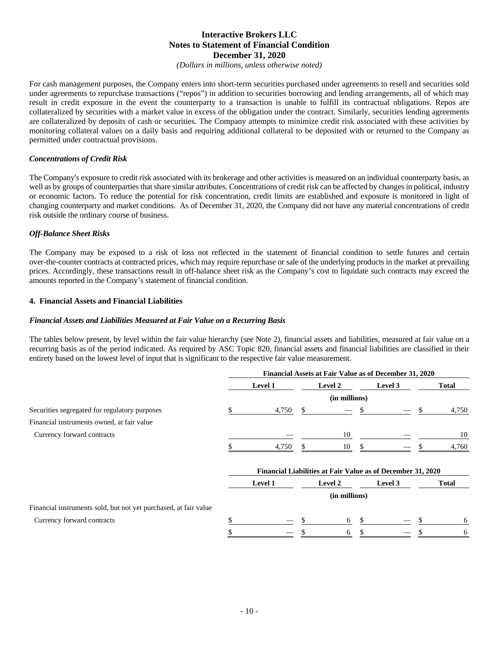*(Dollars in millions, unless otherwise noted)*

For cash management purposes, the Company enters into short-term securities purchased under agreements to resell and securities sold under agreements to repurchase transactions ("repos") in addition to securities borrowing and lending arrangements, all of which may result in credit exposure in the event the counterparty to a transaction is unable to fulfill its contractual obligations. Repos are collateralized by securities with a market value in excess of the obligation under the contract. Similarly, securities lending agreements are collateralized by deposits of cash or securities. The Company attempts to minimize credit risk associated with these activities by monitoring collateral values on a daily basis and requiring additional collateral to be deposited with or returned to the Company as permitted under contractual provisions.

#### *Concentrations of Credit Risk*

The Company's exposure to credit risk associated with its brokerage and other activities is measured on an individual counterparty basis, as well as by groups of counterparties that share similar attributes. Concentrations of credit risk can be affected by changes in political, industry or economic factors. To reduce the potential for risk concentration, credit limits are established and exposure is monitored in light of changing counterparty and market conditions. As of December 31, 2020, the Company did not have any material concentrations of credit risk outside the ordinary course of business.

#### *Off-Balance Sheet Risks*

The Company may be exposed to a risk of loss not reflected in the statement of financial condition to settle futures and certain over-the-counter contracts at contracted prices, which may require repurchase or sale of the underlying products in the market at prevailing prices. Accordingly, these transactions result in off-balance sheet risk as the Company's cost to liquidate such contracts may exceed the amounts reported in the Company's statement of financial condition.

#### **4. Financial Assets and Financial Liabilities**

#### *Financial Assets and Liabilities Measured at Fair Value on a Recurring Basis*

The tables below present, by level within the fair value hierarchy (see Note 2), financial assets and liabilities, measured at fair value on a recurring basis as of the period indicated. As required by ASC Topic 820, financial assets and financial liabilities are classified in their entirety based on the lowest level of input that is significant to the respective fair value measurement.

|                                                                  | Financial Assets at Fair Value as of December 31, 2020 |                                                             |               |               |          |         |    |              |
|------------------------------------------------------------------|--------------------------------------------------------|-------------------------------------------------------------|---------------|---------------|----------|---------|----|--------------|
|                                                                  |                                                        | Level 1                                                     |               | Level 2       |          | Level 3 |    | <b>Total</b> |
|                                                                  |                                                        |                                                             |               | (in millions) |          |         |    |              |
| Securities segregated for regulatory purposes                    |                                                        | 4,750                                                       | <sup>\$</sup> |               |          |         | \$ | 4,750        |
| Financial instruments owned, at fair value                       |                                                        |                                                             |               |               |          |         |    |              |
| Currency forward contracts                                       |                                                        |                                                             |               | 10            |          |         |    | 10           |
|                                                                  |                                                        | 4,750                                                       |               | 10            |          |         |    | 4,760        |
|                                                                  |                                                        | Financial Liabilities at Fair Value as of December 31, 2020 |               |               |          |         |    |              |
|                                                                  |                                                        | Level 1                                                     |               | Level 2       |          | Level 3 |    | <b>Total</b> |
|                                                                  |                                                        |                                                             |               | (in millions) |          |         |    |              |
| Financial instruments sold, but not yet purchased, at fair value |                                                        |                                                             |               |               |          |         |    |              |
| Currency forward contracts                                       | ъ                                                      |                                                             |               | 6             | <b>S</b> |         |    | 6            |
|                                                                  |                                                        |                                                             |               | 6             |          |         |    | 6            |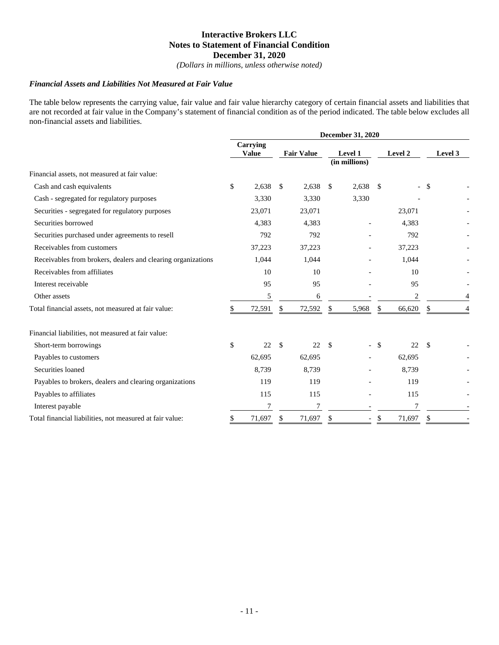*(Dollars in millions, unless otherwise noted)*

#### *Financial Assets and Liabilities Not Measured at Fair Value*

The table below represents the carrying value, fair value and fair value hierarchy category of certain financial assets and liabilities that are not recorded at fair value in the Company's statement of financial condition as of the period indicated. The table below excludes all non-financial assets and liabilities.

|                                                              | <b>December 31, 2020</b> |                          |     |                   |               |                          |               |         |      |         |
|--------------------------------------------------------------|--------------------------|--------------------------|-----|-------------------|---------------|--------------------------|---------------|---------|------|---------|
|                                                              |                          | Carrying<br><b>Value</b> |     | <b>Fair Value</b> |               | Level 1<br>(in millions) |               | Level 2 |      | Level 3 |
| Financial assets, not measured at fair value:                |                          |                          |     |                   |               |                          |               |         |      |         |
| Cash and cash equivalents                                    | \$                       | 2,638                    | \$  | 2,638             | \$            | 2,638                    | <sup>\$</sup> |         | - \$ |         |
| Cash - segregated for regulatory purposes                    |                          | 3,330                    |     | 3,330             |               | 3,330                    |               |         |      |         |
| Securities - segregated for regulatory purposes              |                          | 23,071                   |     | 23,071            |               |                          |               | 23,071  |      |         |
| Securities borrowed                                          |                          | 4,383                    |     | 4,383             |               |                          |               | 4,383   |      |         |
| Securities purchased under agreements to resell              |                          | 792                      |     | 792               |               |                          |               | 792     |      |         |
| Receivables from customers                                   |                          | 37,223                   |     | 37,223            |               |                          |               | 37,223  |      |         |
| Receivables from brokers, dealers and clearing organizations |                          | 1,044                    |     | 1,044             |               |                          |               | 1,044   |      |         |
| Receivables from affiliates                                  |                          | 10                       |     | 10                |               |                          |               | 10      |      |         |
| Interest receivable                                          |                          | 95                       |     | 95                |               |                          |               | 95      |      |         |
| Other assets                                                 |                          | 5                        |     | 6                 |               |                          |               | 2       |      |         |
| Total financial assets, not measured at fair value:          | \$                       | 72,591                   | \$  | 72,592            | \$            | 5,968                    | \$            | 66,620  | \$   |         |
| Financial liabilities, not measured at fair value:           |                          |                          |     |                   |               |                          |               |         |      |         |
| Short-term borrowings                                        | \$                       | 22                       | \$. | 22                | <sup>\$</sup> |                          | -\$           | 22      | -S   |         |
| Payables to customers                                        |                          | 62,695                   |     | 62,695            |               |                          |               | 62,695  |      |         |
| Securities loaned                                            |                          | 8,739                    |     | 8,739             |               |                          |               | 8,739   |      |         |
| Payables to brokers, dealers and clearing organizations      |                          | 119                      |     | 119               |               |                          |               | 119     |      |         |
| Payables to affiliates                                       |                          | 115                      |     | 115               |               |                          |               | 115     |      |         |
| Interest payable                                             |                          |                          |     | 7                 |               |                          |               |         |      |         |
| Total financial liabilities, not measured at fair value:     | \$                       | 71,697                   | \$  | 71,697            | \$            |                          | \$            | 71,697  | \$   |         |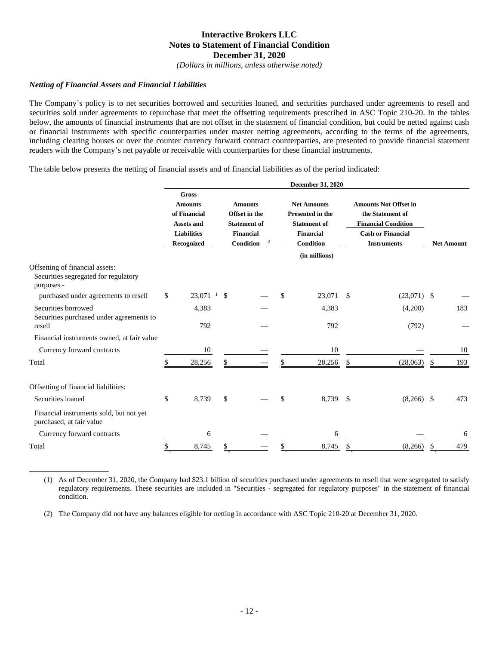*(Dollars in millions, unless otherwise noted)*

#### *Netting of Financial Assets and Financial Liabilities*

\_\_\_\_\_\_\_\_\_\_\_\_\_\_\_\_\_\_\_\_\_\_\_\_\_\_\_\_\_\_

The Company's policy is to net securities borrowed and securities loaned, and securities purchased under agreements to resell and securities sold under agreements to repurchase that meet the offsetting requirements prescribed in ASC Topic 210-20. In the tables below, the amounts of financial instruments that are not offset in the statement of financial condition, but could be netted against cash or financial instruments with specific counterparties under master netting agreements, according to the terms of the agreements, including clearing houses or over the counter currency forward contract counterparties, are presented to provide financial statement readers with the Company's net payable or receivable with counterparties for these financial instruments.

The table below presents the netting of financial assets and of financial liabilities as of the period indicated:

|                                                                                       | December 31, 2020 |                                                                                                         |     |                                                                                         |    |                                                                                                                               |     |                                                                                                                                  |    |                   |  |
|---------------------------------------------------------------------------------------|-------------------|---------------------------------------------------------------------------------------------------------|-----|-----------------------------------------------------------------------------------------|----|-------------------------------------------------------------------------------------------------------------------------------|-----|----------------------------------------------------------------------------------------------------------------------------------|----|-------------------|--|
|                                                                                       |                   | <b>Gross</b><br><b>Amounts</b><br>of Financial<br><b>Assets and</b><br><b>Liabilities</b><br>Recognized |     | <b>Amounts</b><br>Offset in the<br><b>Statement of</b><br><b>Financial</b><br>Condition |    | <b>Net Amounts</b><br><b>Presented in the</b><br><b>Statement of</b><br><b>Financial</b><br><b>Condition</b><br>(in millions) |     | <b>Amounts Not Offset in</b><br>the Statement of<br><b>Financial Condition</b><br><b>Cash or Financial</b><br><b>Instruments</b> |    | <b>Net Amount</b> |  |
| Offsetting of financial assets:<br>Securities segregated for regulatory<br>purposes - |                   |                                                                                                         |     |                                                                                         |    |                                                                                                                               |     |                                                                                                                                  |    |                   |  |
| purchased under agreements to resell                                                  | \$                | $23,071$ <sup>1</sup>                                                                                   | \$. |                                                                                         | \$ | 23,071                                                                                                                        | -S  | $(23,071)$ \$                                                                                                                    |    |                   |  |
| Securities borrowed<br>Securities purchased under agreements to                       |                   | 4,383                                                                                                   |     |                                                                                         |    | 4,383                                                                                                                         |     | (4,200)                                                                                                                          |    | 183               |  |
| resell                                                                                |                   | 792                                                                                                     |     |                                                                                         |    | 792                                                                                                                           |     | (792)                                                                                                                            |    |                   |  |
| Financial instruments owned, at fair value                                            |                   |                                                                                                         |     |                                                                                         |    |                                                                                                                               |     |                                                                                                                                  |    |                   |  |
| Currency forward contracts                                                            |                   | 10                                                                                                      |     |                                                                                         |    | 10                                                                                                                            |     |                                                                                                                                  |    | 10                |  |
| Total                                                                                 |                   | 28,256                                                                                                  | \$  |                                                                                         |    | 28,256                                                                                                                        | \$  | (28,063)                                                                                                                         | \$ | 193               |  |
| Offsetting of financial liabilities:                                                  |                   |                                                                                                         |     |                                                                                         |    |                                                                                                                               |     |                                                                                                                                  |    |                   |  |
| Securities loaned                                                                     | \$                | 8,739                                                                                                   | \$  |                                                                                         | \$ | 8,739                                                                                                                         | -\$ | $(8,266)$ \$                                                                                                                     |    | 473               |  |
| Financial instruments sold, but not yet<br>purchased, at fair value                   |                   |                                                                                                         |     |                                                                                         |    |                                                                                                                               |     |                                                                                                                                  |    |                   |  |
| Currency forward contracts                                                            |                   | 6                                                                                                       |     |                                                                                         |    | 6                                                                                                                             |     |                                                                                                                                  |    | 6                 |  |
| Total                                                                                 |                   | 8,745                                                                                                   |     |                                                                                         |    | 8,745                                                                                                                         |     | (8,266)                                                                                                                          |    | 479               |  |

(1) As of December 31, 2020, the Company had \$23.1 billion of securities purchased under agreements to resell that were segregated to satisfy regulatory requirements. These securities are included in "Securities - segregated for regulatory purposes" in the statement of financial condition.

(2) The Company did not have any balances eligible for netting in accordance with ASC Topic 210-20 at December 31, 2020.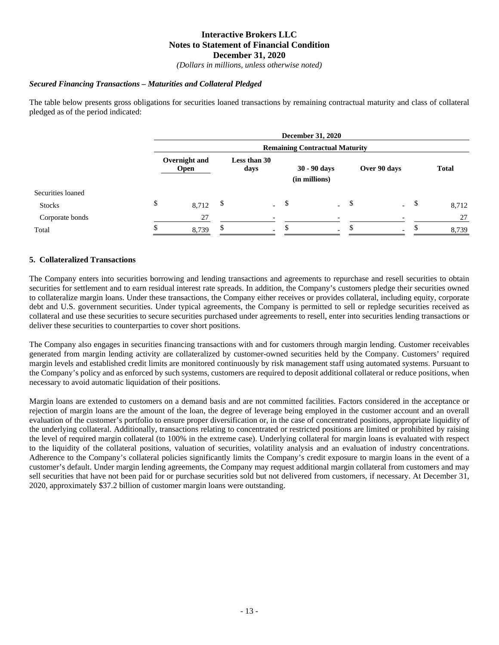*(Dollars in millions, unless otherwise noted)*

#### *Secured Financing Transactions – Maturities and Collateral Pledged*

The table below presents gross obligations for securities loaned transactions by remaining contractual maturity and class of collateral pledged as of the period indicated:

|                   |                                       |    |                          |    | <b>December 31, 2020</b>      |     |                          |              |  |
|-------------------|---------------------------------------|----|--------------------------|----|-------------------------------|-----|--------------------------|--------------|--|
|                   | <b>Remaining Contractual Maturity</b> |    |                          |    |                               |     |                          |              |  |
|                   | Overnight and<br><b>Open</b>          |    | Less than 30<br>days     |    | 30 - 90 days<br>(in millions) |     | Over 90 days             | <b>Total</b> |  |
| Securities loaned |                                       |    |                          |    |                               |     |                          |              |  |
| <b>Stocks</b>     | \$<br>8,712                           | \$ | $\sim$                   | -S | $\omega$ .                    | -\$ | $-$ \$                   | 8,712        |  |
| Corporate bonds   | 27                                    |    |                          |    |                               |     |                          | 27           |  |
| Total             | 8,739                                 | Ж, | $\overline{\phantom{0}}$ |    | $\overline{a}$                |     | $\overline{\phantom{0}}$ | 8,739        |  |

#### **5. Collateralized Transactions**

The Company enters into securities borrowing and lending transactions and agreements to repurchase and resell securities to obtain securities for settlement and to earn residual interest rate spreads. In addition, the Company's customers pledge their securities owned to collateralize margin loans. Under these transactions, the Company either receives or provides collateral, including equity, corporate debt and U.S. government securities. Under typical agreements, the Company is permitted to sell or repledge securities received as collateral and use these securities to secure securities purchased under agreements to resell, enter into securities lending transactions or deliver these securities to counterparties to cover short positions.

The Company also engages in securities financing transactions with and for customers through margin lending. Customer receivables generated from margin lending activity are collateralized by customer-owned securities held by the Company. Customers' required margin levels and established credit limits are monitored continuously by risk management staff using automated systems. Pursuant to the Company's policy and as enforced by such systems, customers are required to deposit additional collateral or reduce positions, when necessary to avoid automatic liquidation of their positions.

Margin loans are extended to customers on a demand basis and are not committed facilities. Factors considered in the acceptance or rejection of margin loans are the amount of the loan, the degree of leverage being employed in the customer account and an overall evaluation of the customer's portfolio to ensure proper diversification or, in the case of concentrated positions, appropriate liquidity of the underlying collateral. Additionally, transactions relating to concentrated or restricted positions are limited or prohibited by raising the level of required margin collateral (to 100% in the extreme case). Underlying collateral for margin loans is evaluated with respect to the liquidity of the collateral positions, valuation of securities, volatility analysis and an evaluation of industry concentrations. Adherence to the Company's collateral policies significantly limits the Company's credit exposure to margin loans in the event of a customer's default. Under margin lending agreements, the Company may request additional margin collateral from customers and may sell securities that have not been paid for or purchase securities sold but not delivered from customers, if necessary. At December 31, 2020, approximately \$37.2 billion of customer margin loans were outstanding.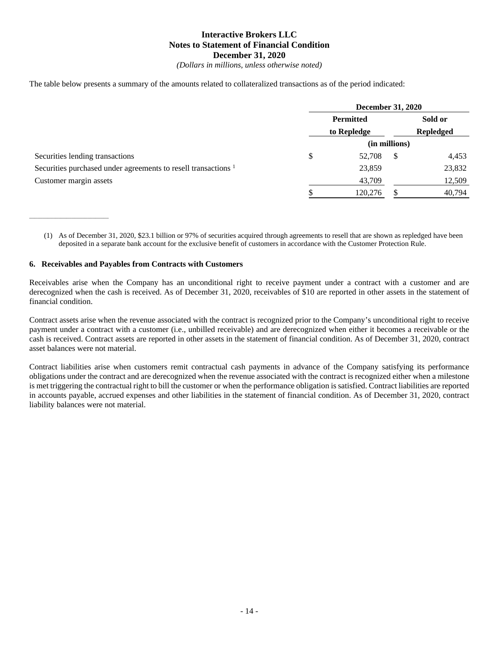*(Dollars in millions, unless otherwise noted)*

The table below presents a summary of the amounts related to collateralized transactions as of the period indicated:

|                                                                           | <b>December 31, 2020</b>        |   |         |  |  |
|---------------------------------------------------------------------------|---------------------------------|---|---------|--|--|
|                                                                           | <b>Permitted</b>                |   | Sold or |  |  |
|                                                                           | <b>Repledged</b><br>to Repledge |   |         |  |  |
|                                                                           | (in millions)                   |   |         |  |  |
| Securities lending transactions                                           | \$<br>52,708                    | S | 4,453   |  |  |
| Securities purchased under agreements to resell transactions <sup>1</sup> | 23,859                          |   | 23,832  |  |  |
| Customer margin assets                                                    | 43,709                          |   | 12,509  |  |  |
|                                                                           | 120,276                         |   | 40,794  |  |  |

(1) As of December 31, 2020, \$23.1 billion or 97% of securities acquired through agreements to resell that are shown as repledged have been deposited in a separate bank account for the exclusive benefit of customers in accordance with the Customer Protection Rule.

#### **6. Receivables and Payables from Contracts with Customers**

\_\_\_\_\_\_\_\_\_\_\_\_\_\_\_\_\_\_\_\_\_\_\_\_\_\_\_\_\_\_

Receivables arise when the Company has an unconditional right to receive payment under a contract with a customer and are derecognized when the cash is received. As of December 31, 2020, receivables of \$10 are reported in other assets in the statement of financial condition.

Contract assets arise when the revenue associated with the contract is recognized prior to the Company's unconditional right to receive payment under a contract with a customer (i.e., unbilled receivable) and are derecognized when either it becomes a receivable or the cash is received. Contract assets are reported in other assets in the statement of financial condition. As of December 31, 2020, contract asset balances were not material.

Contract liabilities arise when customers remit contractual cash payments in advance of the Company satisfying its performance obligations under the contract and are derecognized when the revenue associated with the contract is recognized either when a milestone is met triggering the contractual right to bill the customer or when the performance obligation is satisfied. Contract liabilities are reported in accounts payable, accrued expenses and other liabilities in the statement of financial condition. As of December 31, 2020, contract liability balances were not material.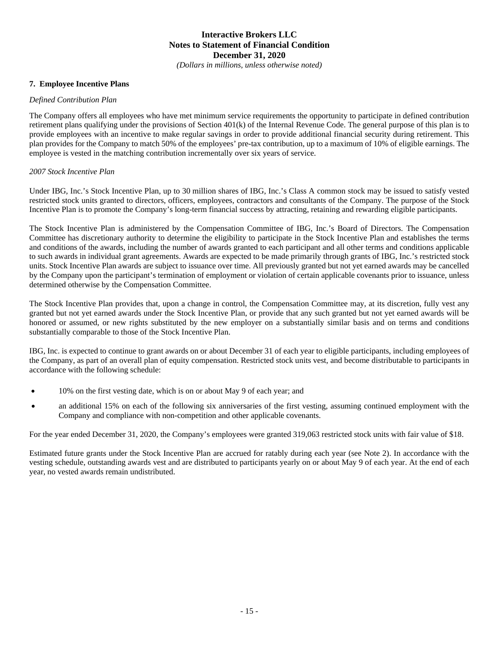*(Dollars in millions, unless otherwise noted)*

#### **7. Employee Incentive Plans**

#### *Defined Contribution Plan*

The Company offers all employees who have met minimum service requirements the opportunity to participate in defined contribution retirement plans qualifying under the provisions of Section 401(k) of the Internal Revenue Code. The general purpose of this plan is to provide employees with an incentive to make regular savings in order to provide additional financial security during retirement. This plan provides for the Company to match 50% of the employees' pre-tax contribution, up to a maximum of 10% of eligible earnings. The employee is vested in the matching contribution incrementally over six years of service.

#### *2007 Stock Incentive Plan*

Under IBG, Inc.'s Stock Incentive Plan, up to 30 million shares of IBG, Inc.'s Class A common stock may be issued to satisfy vested restricted stock units granted to directors, officers, employees, contractors and consultants of the Company. The purpose of the Stock Incentive Plan is to promote the Company's long-term financial success by attracting, retaining and rewarding eligible participants.

The Stock Incentive Plan is administered by the Compensation Committee of IBG, Inc.'s Board of Directors. The Compensation Committee has discretionary authority to determine the eligibility to participate in the Stock Incentive Plan and establishes the terms and conditions of the awards, including the number of awards granted to each participant and all other terms and conditions applicable to such awards in individual grant agreements. Awards are expected to be made primarily through grants of IBG, Inc.'s restricted stock units. Stock Incentive Plan awards are subject to issuance over time. All previously granted but not yet earned awards may be cancelled by the Company upon the participant's termination of employment or violation of certain applicable covenants prior to issuance, unless determined otherwise by the Compensation Committee.

The Stock Incentive Plan provides that, upon a change in control, the Compensation Committee may, at its discretion, fully vest any granted but not yet earned awards under the Stock Incentive Plan, or provide that any such granted but not yet earned awards will be honored or assumed, or new rights substituted by the new employer on a substantially similar basis and on terms and conditions substantially comparable to those of the Stock Incentive Plan.

IBG, Inc. is expected to continue to grant awards on or about December 31 of each year to eligible participants, including employees of the Company, as part of an overall plan of equity compensation. Restricted stock units vest, and become distributable to participants in accordance with the following schedule:

- 10% on the first vesting date, which is on or about May 9 of each year; and
- an additional 15% on each of the following six anniversaries of the first vesting, assuming continued employment with the Company and compliance with non-competition and other applicable covenants.

For the year ended December 31, 2020, the Company's employees were granted 319,063 restricted stock units with fair value of \$18.

Estimated future grants under the Stock Incentive Plan are accrued for ratably during each year (see Note 2). In accordance with the vesting schedule, outstanding awards vest and are distributed to participants yearly on or about May 9 of each year. At the end of each year, no vested awards remain undistributed.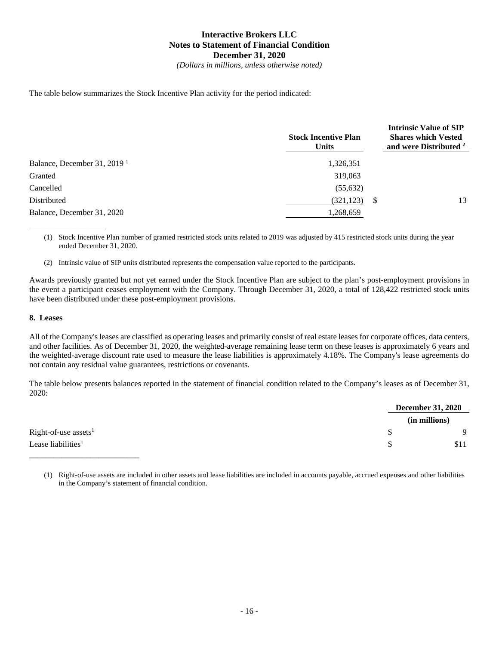*(Dollars in millions, unless otherwise noted)*

The table below summarizes the Stock Incentive Plan activity for the period indicated:

|                                         | <b>Stock Incentive Plan</b><br><b>Units</b> | <b>Intrinsic Value of SIP</b><br><b>Shares which Vested</b><br>and were Distributed <sup>2</sup> |
|-----------------------------------------|---------------------------------------------|--------------------------------------------------------------------------------------------------|
| Balance, December 31, 2019 <sup>1</sup> | 1,326,351                                   |                                                                                                  |
| Granted                                 | 319,063                                     |                                                                                                  |
| Cancelled                               | (55, 632)                                   |                                                                                                  |
| Distributed                             | (321, 123)<br>-S                            | 13                                                                                               |
| Balance, December 31, 2020              | 1,268,659                                   |                                                                                                  |

(1) Stock Incentive Plan number of granted restricted stock units related to 2019 was adjusted by 415 restricted stock units during the year ended December 31, 2020.

(2) Intrinsic value of SIP units distributed represents the compensation value reported to the participants.

Awards previously granted but not yet earned under the Stock Incentive Plan are subject to the plan's post-employment provisions in the event a participant ceases employment with the Company. Through December 31, 2020, a total of 128,422 restricted stock units have been distributed under these post-employment provisions.

#### **8. Leases**

\_\_\_\_\_\_\_\_\_\_\_\_\_\_\_\_\_\_\_\_\_\_\_\_\_\_\_\_\_

All of the Company's leases are classified as operating leases and primarily consist of real estate leases for corporate offices, data centers, and other facilities. As of December 31, 2020, the weighted-average remaining lease term on these leases is approximately 6 years and the weighted-average discount rate used to measure the lease liabilities is approximately 4.18%. The Company's lease agreements do not contain any residual value guarantees, restrictions or covenants.

The table below presents balances reported in the statement of financial condition related to the Company's leases as of December 31, 2020:

|                                | <b>December 31, 2020</b> |
|--------------------------------|--------------------------|
|                                | (in millions)            |
| $Right-of-use assets1$         | \$<br>$\mathbf{Q}$       |
| Lease liabilities <sup>1</sup> | \$<br>\$11               |
|                                |                          |

<sup>(1)</sup> Right-of-use assets are included in other assets and lease liabilities are included in accounts payable, accrued expenses and other liabilities in the Company's statement of financial condition.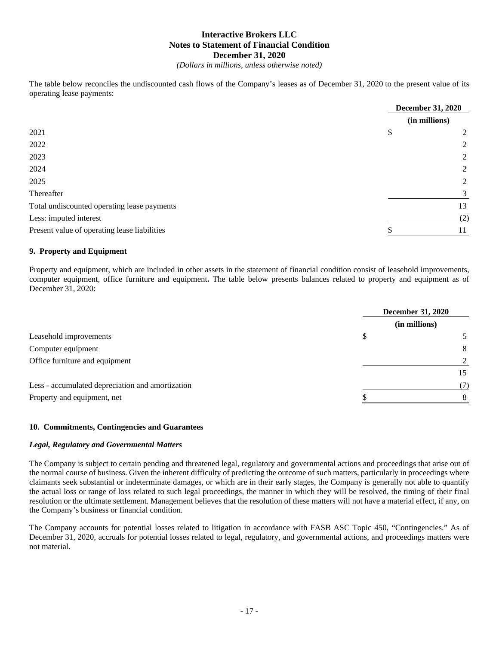*(Dollars in millions, unless otherwise noted)*

The table below reconciles the undiscounted cash flows of the Company's leases as of December 31, 2020 to the present value of its operating lease payments:

|                                              | (in millions) |
|----------------------------------------------|---------------|
|                                              |               |
| 2021<br>\$                                   | 2             |
| 2022                                         | 2             |
| 2023                                         | 2             |
| 2024                                         | 2             |
| 2025                                         | 2             |
| Thereafter                                   | 3             |
| Total undiscounted operating lease payments  | 13            |
| Less: imputed interest                       | (2)           |
| Present value of operating lease liabilities | 11            |

#### **9. Property and Equipment**

Property and equipment, which are included in other assets in the statement of financial condition consist of leasehold improvements, computer equipment, office furniture and equipment**.** The table below presents balances related to property and equipment as of December 31, 2020:

|                                                  | <b>December 31, 2020</b> |               |
|--------------------------------------------------|--------------------------|---------------|
|                                                  |                          | (in millions) |
| Leasehold improvements                           | S                        |               |
| Computer equipment                               |                          | 8             |
| Office furniture and equipment                   |                          |               |
|                                                  |                          | 15            |
| Less - accumulated depreciation and amortization |                          | (7)           |
| Property and equipment, net                      |                          |               |

#### **10. Commitments, Contingencies and Guarantees**

#### *Legal, Regulatory and Governmental Matters*

The Company is subject to certain pending and threatened legal, regulatory and governmental actions and proceedings that arise out of the normal course of business. Given the inherent difficulty of predicting the outcome of such matters, particularly in proceedings where claimants seek substantial or indeterminate damages, or which are in their early stages, the Company is generally not able to quantify the actual loss or range of loss related to such legal proceedings, the manner in which they will be resolved, the timing of their final resolution or the ultimate settlement. Management believes that the resolution of these matters will not have a material effect, if any, on the Company's business or financial condition.

The Company accounts for potential losses related to litigation in accordance with FASB ASC Topic 450, "Contingencies." As of December 31, 2020, accruals for potential losses related to legal, regulatory, and governmental actions, and proceedings matters were not material.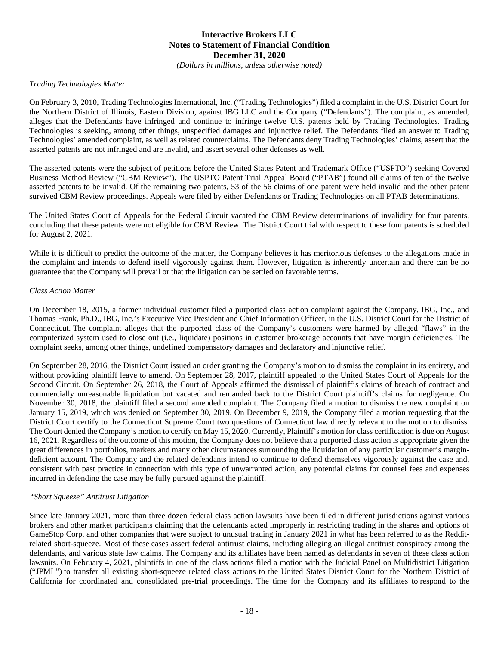*(Dollars in millions, unless otherwise noted)*

#### *Trading Technologies Matter*

On February 3, 2010, Trading Technologies International, Inc. ("Trading Technologies") filed a complaint in the U.S. District Court for the Northern District of Illinois, Eastern Division, against IBG LLC and the Company ("Defendants"). The complaint, as amended, alleges that the Defendants have infringed and continue to infringe twelve U.S. patents held by Trading Technologies. Trading Technologies is seeking, among other things, unspecified damages and injunctive relief. The Defendants filed an answer to Trading Technologies' amended complaint, as well as related counterclaims. The Defendants deny Trading Technologies' claims, assert that the asserted patents are not infringed and are invalid, and assert several other defenses as well.

The asserted patents were the subject of petitions before the United States Patent and Trademark Office ("USPTO") seeking Covered Business Method Review ("CBM Review"). The USPTO Patent Trial Appeal Board ("PTAB") found all claims of ten of the twelve asserted patents to be invalid. Of the remaining two patents, 53 of the 56 claims of one patent were held invalid and the other patent survived CBM Review proceedings. Appeals were filed by either Defendants or Trading Technologies on all PTAB determinations.

The United States Court of Appeals for the Federal Circuit vacated the CBM Review determinations of invalidity for four patents, concluding that these patents were not eligible for CBM Review. The District Court trial with respect to these four patents is scheduled for August 2, 2021.

While it is difficult to predict the outcome of the matter, the Company believes it has meritorious defenses to the allegations made in the complaint and intends to defend itself vigorously against them. However, litigation is inherently uncertain and there can be no guarantee that the Company will prevail or that the litigation can be settled on favorable terms.

#### *Class Action Matter*

On December 18, 2015, a former individual customer filed a purported class action complaint against the Company, IBG, Inc., and Thomas Frank, Ph.D., IBG, Inc.'s Executive Vice President and Chief Information Officer, in the U.S. District Court for the District of Connecticut. The complaint alleges that the purported class of the Company's customers were harmed by alleged "flaws" in the computerized system used to close out (i.e., liquidate) positions in customer brokerage accounts that have margin deficiencies. The complaint seeks, among other things, undefined compensatory damages and declaratory and injunctive relief.

On September 28, 2016, the District Court issued an order granting the Company's motion to dismiss the complaint in its entirety, and without providing plaintiff leave to amend. On September 28, 2017, plaintiff appealed to the United States Court of Appeals for the Second Circuit. On September 26, 2018, the Court of Appeals affirmed the dismissal of plaintiff's claims of breach of contract and commercially unreasonable liquidation but vacated and remanded back to the District Court plaintiff's claims for negligence. On November 30, 2018, the plaintiff filed a second amended complaint. The Company filed a motion to dismiss the new complaint on January 15, 2019, which was denied on September 30, 2019. On December 9, 2019, the Company filed a motion requesting that the District Court certify to the Connecticut Supreme Court two questions of Connecticut law directly relevant to the motion to dismiss. The Court denied the Company's motion to certify on May 15, 2020. Currently, Plaintiff's motion for class certification is due on August 16, 2021. Regardless of the outcome of this motion, the Company does not believe that a purported class action is appropriate given the great differences in portfolios, markets and many other circumstances surrounding the liquidation of any particular customer's margindeficient account. The Company and the related defendants intend to continue to defend themselves vigorously against the case and, consistent with past practice in connection with this type of unwarranted action, any potential claims for counsel fees and expenses incurred in defending the case may be fully pursued against the plaintiff.

#### *"Short Squeeze" Antitrust Litigation*

Since late January 2021, more than three dozen federal class action lawsuits have been filed in different jurisdictions against various brokers and other market participants claiming that the defendants acted improperly in restricting trading in the shares and options of GameStop Corp. and other companies that were subject to unusual trading in January 2021 in what has been referred to as the Redditrelated short-squeeze. Most of these cases assert federal antitrust claims, including alleging an illegal antitrust conspiracy among the defendants, and various state law claims. The Company and its affiliates have been named as defendants in seven of these class action lawsuits. On February 4, 2021, plaintiffs in one of the class actions filed a motion with the Judicial Panel on Multidistrict Litigation ("JPML") to transfer all existing short-squeeze related class actions to the United States District Court for the Northern District of California for coordinated and consolidated pre-trial proceedings. The time for the Company and its affiliates to respond to the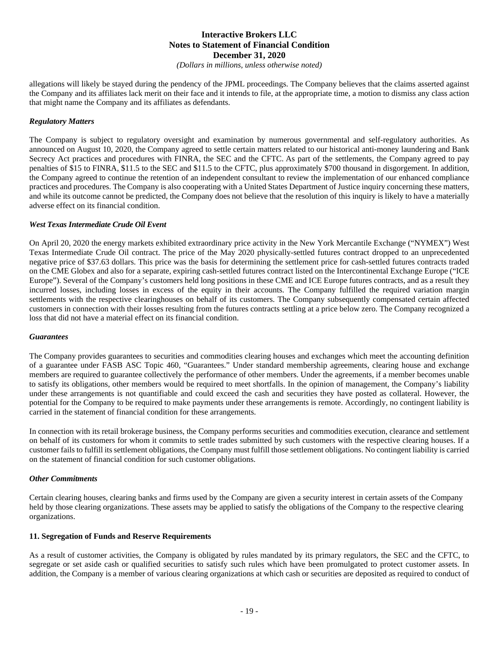*(Dollars in millions, unless otherwise noted)*

allegations will likely be stayed during the pendency of the JPML proceedings. The Company believes that the claims asserted against the Company and its affiliates lack merit on their face and it intends to file, at the appropriate time, a motion to dismiss any class action that might name the Company and its affiliates as defendants.

#### *Regulatory Matters*

The Company is subject to regulatory oversight and examination by numerous governmental and self-regulatory authorities. As announced on August 10, 2020, the Company agreed to settle certain matters related to our historical anti-money laundering and Bank Secrecy Act practices and procedures with FINRA, the SEC and the CFTC. As part of the settlements, the Company agreed to pay penalties of \$15 to FINRA, \$11.5 to the SEC and \$11.5 to the CFTC, plus approximately \$700 thousand in disgorgement. In addition, the Company agreed to continue the retention of an independent consultant to review the implementation of our enhanced compliance practices and procedures. The Company is also cooperating with a United States Department of Justice inquiry concerning these matters, and while its outcome cannot be predicted, the Company does not believe that the resolution of this inquiry is likely to have a materially adverse effect on its financial condition.

#### *West Texas Intermediate Crude Oil Event*

On April 20, 2020 the energy markets exhibited extraordinary price activity in the New York Mercantile Exchange ("NYMEX") West Texas Intermediate Crude Oil contract. The price of the May 2020 physically-settled futures contract dropped to an unprecedented negative price of \$37.63 dollars. This price was the basis for determining the settlement price for cash-settled futures contracts traded on the CME Globex and also for a separate, expiring cash-settled futures contract listed on the Intercontinental Exchange Europe ("ICE Europe"). Several of the Company's customers held long positions in these CME and ICE Europe futures contracts, and as a result they incurred losses, including losses in excess of the equity in their accounts. The Company fulfilled the required variation margin settlements with the respective clearinghouses on behalf of its customers. The Company subsequently compensated certain affected customers in connection with their losses resulting from the futures contracts settling at a price below zero. The Company recognized a loss that did not have a material effect on its financial condition.

#### *Guarantees*

The Company provides guarantees to securities and commodities clearing houses and exchanges which meet the accounting definition of a guarantee under FASB ASC Topic 460, "Guarantees." Under standard membership agreements, clearing house and exchange members are required to guarantee collectively the performance of other members. Under the agreements, if a member becomes unable to satisfy its obligations, other members would be required to meet shortfalls. In the opinion of management, the Company's liability under these arrangements is not quantifiable and could exceed the cash and securities they have posted as collateral. However, the potential for the Company to be required to make payments under these arrangements is remote. Accordingly, no contingent liability is carried in the statement of financial condition for these arrangements.

In connection with its retail brokerage business, the Company performs securities and commodities execution, clearance and settlement on behalf of its customers for whom it commits to settle trades submitted by such customers with the respective clearing houses. If a customer fails to fulfill its settlement obligations, the Company must fulfill those settlement obligations. No contingent liability is carried on the statement of financial condition for such customer obligations.

#### *Other Commitments*

Certain clearing houses, clearing banks and firms used by the Company are given a security interest in certain assets of the Company held by those clearing organizations. These assets may be applied to satisfy the obligations of the Company to the respective clearing organizations.

#### **11. Segregation of Funds and Reserve Requirements**

As a result of customer activities, the Company is obligated by rules mandated by its primary regulators, the SEC and the CFTC, to segregate or set aside cash or qualified securities to satisfy such rules which have been promulgated to protect customer assets. In addition, the Company is a member of various clearing organizations at which cash or securities are deposited as required to conduct of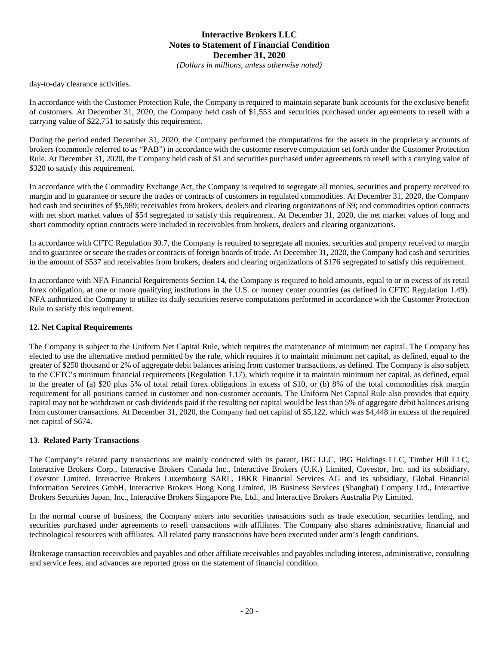*(Dollars in millions, unless otherwise noted)*

day-to-day clearance activities.

In accordance with the Customer Protection Rule, the Company is required to maintain separate bank accounts for the exclusive benefit of customers. At December 31, 2020, the Company held cash of \$1,553 and securities purchased under agreements to resell with a carrying value of \$22,751 to satisfy this requirement.

During the period ended December 31, 2020, the Company performed the computations for the assets in the proprietary accounts of brokers (commonly referred to as "PAB") in accordance with the customer reserve computation set forth under the Customer Protection Rule. At December 31, 2020, the Company held cash of \$1 and securities purchased under agreements to resell with a carrying value of \$320 to satisfy this requirement.

In accordance with the Commodity Exchange Act, the Company is required to segregate all monies, securities and property received to margin and to guarantee or secure the trades or contracts of customers in regulated commodities. At December 31, 2020, the Company had cash and securities of \$5,989; receivables from brokers, dealers and clearing organizations of \$9; and commodities option contracts with net short market values of \$54 segregated to satisfy this requirement. At December 31, 2020, the net market values of long and short commodity option contracts were included in receivables from brokers, dealers and clearing organizations.

In accordance with CFTC Regulation 30.7, the Company is required to segregate all monies, securities and property received to margin and to guarantee or secure the trades or contracts of foreign boards of trade. At December 31, 2020, the Company had cash and securities in the amount of \$537 and receivables from brokers, dealers and clearing organizations of \$176 segregated to satisfy this requirement.

In accordance with NFA Financial Requirements Section 14, the Company is required to hold amounts, equal to or in excess of its retail forex obligation, at one or more qualifying institutions in the U.S. or money center countries (as defined in CFTC Regulation 1.49). NFA authorized the Company to utilize its daily securities reserve computations performed in accordance with the Customer Protection Rule to satisfy this requirement.

#### **12. Net Capital Requirements**

The Company is subject to the Uniform Net Capital Rule, which requires the maintenance of minimum net capital. The Company has elected to use the alternative method permitted by the rule, which requires it to maintain minimum net capital, as defined, equal to the greater of \$250 thousand or 2% of aggregate debit balances arising from customer transactions, as defined. The Company is also subject to the CFTC's minimum financial requirements (Regulation 1.17), which require it to maintain minimum net capital, as defined, equal to the greater of (a) \$20 plus 5% of total retail forex obligations in excess of \$10, or (b) 8% of the total commodities risk margin requirement for all positions carried in customer and non-customer accounts. The Uniform Net Capital Rule also provides that equity capital may not be withdrawn or cash dividends paid if the resulting net capital would be less than 5% of aggregate debit balances arising from customer transactions. At December 31, 2020, the Company had net capital of \$5,122, which was \$4,448 in excess of the required net capital of \$674.

#### **13. Related Party Transactions**

The Company's related party transactions are mainly conducted with its parent, IBG LLC, IBG Holdings LLC, Timber Hill LLC, Interactive Brokers Corp., Interactive Brokers Canada Inc., Interactive Brokers (U.K.) Limited, Covestor, Inc. and its subsidiary, Covestor Limited, Interactive Brokers Luxembourg SARL, IBKR Financial Services AG and its subsidiary, Global Financial Information Services GmbH, Interactive Brokers Hong Kong Limited, IB Business Services (Shanghai) Company Ltd., Interactive Brokers Securities Japan, Inc., Interactive Brokers Singapore Pte. Ltd., and Interactive Brokers Australia Pty Limited.

In the normal course of business, the Company enters into securities transactions such as trade execution, securities lending, and securities purchased under agreements to resell transactions with affiliates. The Company also shares administrative, financial and technological resources with affiliates. All related party transactions have been executed under arm's length conditions.

Brokerage transaction receivables and payables and other affiliate receivables and payables including interest, administrative, consulting and service fees, and advances are reported gross on the statement of financial condition.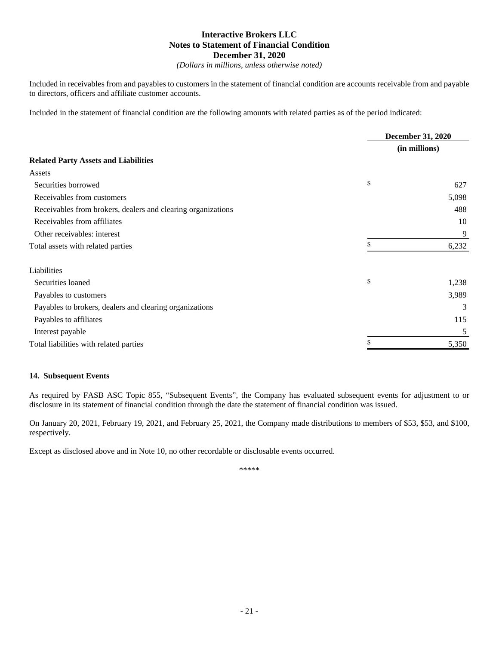*(Dollars in millions, unless otherwise noted)*

Included in receivables from and payables to customers in the statement of financial condition are accounts receivable from and payable to directors, officers and affiliate customer accounts.

Included in the statement of financial condition are the following amounts with related parties as of the period indicated:

|                                                              |    | December 31, 2020<br>(in millions) |  |
|--------------------------------------------------------------|----|------------------------------------|--|
|                                                              |    |                                    |  |
| <b>Related Party Assets and Liabilities</b>                  |    |                                    |  |
| Assets                                                       |    |                                    |  |
| Securities borrowed                                          | \$ | 627                                |  |
| Receivables from customers                                   |    | 5,098                              |  |
| Receivables from brokers, dealers and clearing organizations |    | 488                                |  |
| Receivables from affiliates                                  |    | 10                                 |  |
| Other receivables: interest                                  |    | 9                                  |  |
| Total assets with related parties                            | \$ | 6,232                              |  |
| Liabilities                                                  |    |                                    |  |
| Securities loaned                                            | \$ | 1,238                              |  |
| Payables to customers                                        |    | 3,989                              |  |
| Payables to brokers, dealers and clearing organizations      |    | 3                                  |  |
| Payables to affiliates                                       |    | 115                                |  |
| Interest payable                                             |    | 5                                  |  |
| Total liabilities with related parties                       | \$ | 5,350                              |  |

#### **14. Subsequent Events**

As required by FASB ASC Topic 855, "Subsequent Events", the Company has evaluated subsequent events for adjustment to or disclosure in its statement of financial condition through the date the statement of financial condition was issued.

On January 20, 2021, February 19, 2021, and February 25, 2021, the Company made distributions to members of \$53, \$53, and \$100, respectively.

Except as disclosed above and in Note 10, no other recordable or disclosable events occurred.

\*\*\*\*\*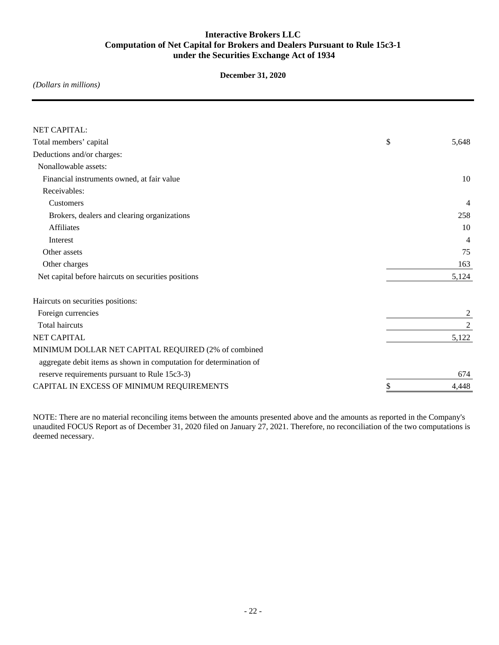## **Interactive Brokers LLC Computation of Net Capital for Brokers and Dealers Pursuant to Rule 15c3-1 under the Securities Exchange Act of 1934**

**December 31, 2020**

*(Dollars in millions)*

| NET CAPITAL:                                                       |                |   |
|--------------------------------------------------------------------|----------------|---|
| Total members' capital                                             | \$<br>5,648    |   |
| Deductions and/or charges:                                         |                |   |
| Nonallowable assets:                                               |                |   |
| Financial instruments owned, at fair value                         | 10             |   |
| Receivables:                                                       |                |   |
| Customers                                                          | 4              |   |
| Brokers, dealers and clearing organizations                        | 258            |   |
| <b>Affiliates</b>                                                  | 10             |   |
| Interest                                                           | $\overline{4}$ |   |
| Other assets                                                       | 75             |   |
| Other charges                                                      | 163            |   |
| Net capital before haircuts on securities positions                | 5,124          |   |
| Haircuts on securities positions:                                  |                |   |
| Foreign currencies                                                 |                | 2 |
| <b>Total haircuts</b>                                              | $\overline{2}$ |   |
| <b>NET CAPITAL</b>                                                 | 5,122          |   |
| MINIMUM DOLLAR NET CAPITAL REQUIRED (2% of combined                |                |   |
| aggregate debit items as shown in computation for determination of |                |   |
| reserve requirements pursuant to Rule 15c3-3)                      | 674            |   |
| CAPITAL IN EXCESS OF MINIMUM REQUIREMENTS                          | \$<br>4,448    |   |

NOTE: There are no material reconciling items between the amounts presented above and the amounts as reported in the Company's unaudited FOCUS Report as of December 31, 2020 filed on January 27, 2021. Therefore, no reconciliation of the two computations is deemed necessary.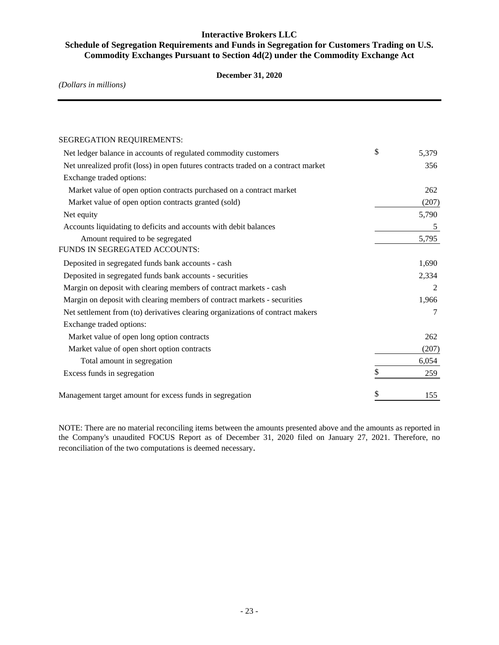## **Interactive Brokers LLC**

## **Schedule of Segregation Requirements and Funds in Segregation for Customers Trading on U.S. Commodity Exchanges Pursuant to Section 4d(2) under the Commodity Exchange Act**

#### **December 31, 2020**

*(Dollars in millions)*

| <b>SEGREGATION REQUIREMENTS:</b>                                                   |             |
|------------------------------------------------------------------------------------|-------------|
| Net ledger balance in accounts of regulated commodity customers                    | \$<br>5,379 |
| Net unrealized profit (loss) in open futures contracts traded on a contract market | 356         |
| Exchange traded options:                                                           |             |
| Market value of open option contracts purchased on a contract market               | 262         |
| Market value of open option contracts granted (sold)                               | (207)       |
| Net equity                                                                         | 5,790       |
| Accounts liquidating to deficits and accounts with debit balances                  | 5           |
| Amount required to be segregated                                                   | 5,795       |
| FUNDS IN SEGREGATED ACCOUNTS:                                                      |             |
| Deposited in segregated funds bank accounts - cash                                 | 1,690       |
| Deposited in segregated funds bank accounts - securities                           | 2,334       |
| Margin on deposit with clearing members of contract markets - cash                 | 2           |
| Margin on deposit with clearing members of contract markets - securities           | 1,966       |
| Net settlement from (to) derivatives clearing organizations of contract makers     | 7           |
| Exchange traded options:                                                           |             |
| Market value of open long option contracts                                         | 262         |
| Market value of open short option contracts                                        | (207)       |
| Total amount in segregation                                                        | 6,054       |
| Excess funds in segregation                                                        | \$<br>259   |
| Management target amount for excess funds in segregation                           | \$<br>155   |

NOTE: There are no material reconciling items between the amounts presented above and the amounts as reported in the Company's unaudited FOCUS Report as of December 31, 2020 filed on January 27, 2021. Therefore, no reconciliation of the two computations is deemed necessary.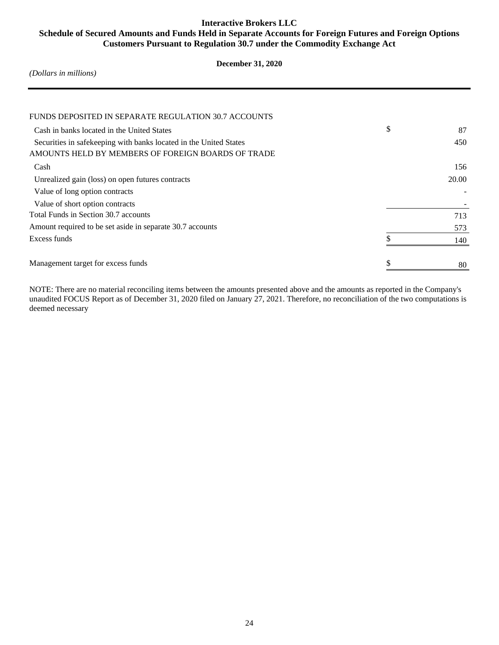## **Interactive Brokers LLC Schedule of Secured Amounts and Funds Held in Separate Accounts for Foreign Futures and Foreign Options Customers Pursuant to Regulation 30.7 under the Commodity Exchange Act**

## **December 31, 2020**

*(Dollars in millions)*

| FUNDS DEPOSITED IN SEPARATE REGULATION 30.7 ACCOUNTS              |          |
|-------------------------------------------------------------------|----------|
| Cash in banks located in the United States                        | \$<br>87 |
| Securities in safekeeping with banks located in the United States | 450      |
| AMOUNTS HELD BY MEMBERS OF FOREIGN BOARDS OF TRADE                |          |
| Cash                                                              | 156      |
| Unrealized gain (loss) on open futures contracts                  | 20.00    |
| Value of long option contracts                                    |          |
| Value of short option contracts                                   |          |
| Total Funds in Section 30.7 accounts                              | 713      |
| Amount required to be set aside in separate 30.7 accounts         | 573      |
| Excess funds                                                      | 140      |
|                                                                   |          |
| Management target for excess funds                                | 80       |
|                                                                   |          |

NOTE: There are no material reconciling items between the amounts presented above and the amounts as reported in the Company's unaudited FOCUS Report as of December 31, 2020 filed on January 27, 2021. Therefore, no reconciliation of the two computations is deemed necessary